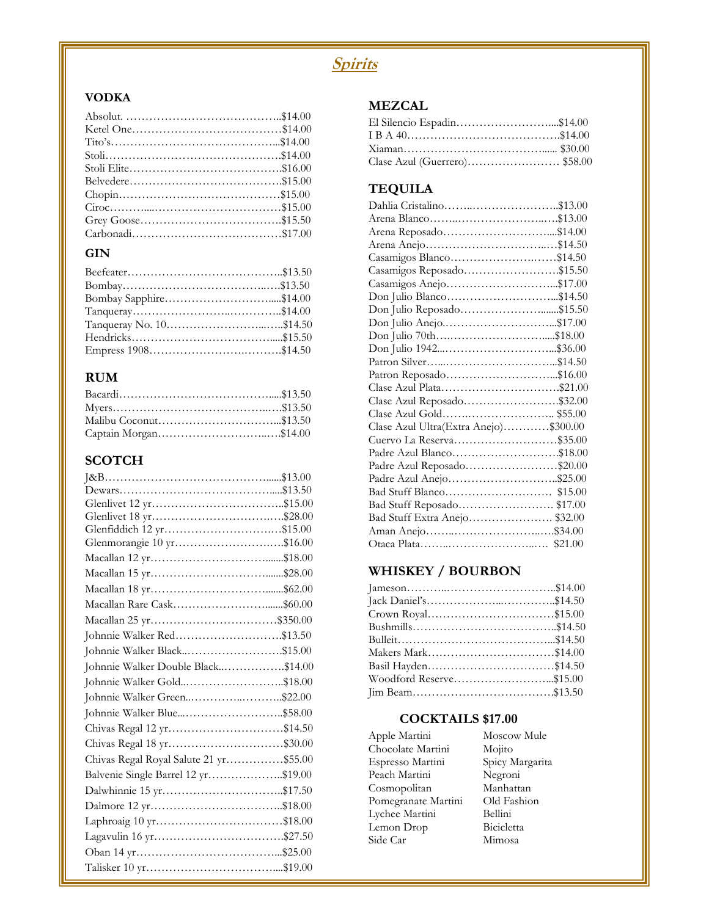### **Spirits**

#### **VODKA**

#### **GIN**

#### **RUM**

| Captain Morgan\$14.00 |  |
|-----------------------|--|

### **SCOTCH**

| Glenfiddich 12 yr\$15.00               |  |
|----------------------------------------|--|
| Glenmorangie 10 yr\$16.00              |  |
|                                        |  |
|                                        |  |
|                                        |  |
|                                        |  |
|                                        |  |
| Johnnie Walker Red\$13.50              |  |
| Johnnie Walker Black\$15.00            |  |
| Johnnie Walker Double Black\$14.00     |  |
| Johnnie Walker Gold\$18.00             |  |
| Johnnie Walker Green\$22.00            |  |
| Johnnie Walker Blue\$58.00             |  |
| Chivas Regal 12 yr\$14.50              |  |
| Chivas Regal 18 yr\$30.00              |  |
| Chivas Regal Royal Salute 21 yr\$55.00 |  |
| Balvenie Single Barrel 12 yr\$19.00    |  |
| Dalwhinnie 15 yr\$17.50                |  |
|                                        |  |
|                                        |  |
|                                        |  |
|                                        |  |
|                                        |  |

#### **MEZCAL**

| El Silencio Espadin\$14.00 |  |
|----------------------------|--|
|                            |  |
|                            |  |
|                            |  |

#### **TEQUILA**

| Casamigos Blanco\$14.50               |  |
|---------------------------------------|--|
| Casamigos Reposado\$15.50             |  |
| Casamigos Anejo\$17.00                |  |
|                                       |  |
| Don Julio Reposado\$15.50             |  |
|                                       |  |
|                                       |  |
|                                       |  |
|                                       |  |
|                                       |  |
| Clase Azul Plata\$21.00               |  |
| Clase Azul Reposado\$32.00            |  |
|                                       |  |
| Clase Azul Ultra(Extra Anejo)\$300.00 |  |
| Cuervo La Reserva\$35.00              |  |
| Padre Azul Blanco\$18.00              |  |
| Padre Azul Reposado\$20.00            |  |
| Padre Azul Anejo\$25.00               |  |
|                                       |  |
| Bad Stuff Reposado \$17.00            |  |
| Bad Stuff Extra Anejo\$32.00          |  |
|                                       |  |
|                                       |  |

### **WHISKEY / BOURBON**

| Crown Royal\$15.00      |  |
|-------------------------|--|
|                         |  |
|                         |  |
| Makers Mark\$14.00      |  |
| Basil Hayden\$14.50     |  |
| Woodford Reserve\$15.00 |  |
|                         |  |

Moscow Mule

### **COCKTAILS \$17.00**

| Apple Martini       | Moscow Mule     |
|---------------------|-----------------|
| Chocolate Martini   | Mojito          |
| Espresso Martini    | Spicy Margarita |
| Peach Martini       | Negroni         |
| Cosmopolitan        | Manhattan       |
| Pomegranate Martini | Old Fashion     |
| Lychee Martini      | Bellini         |
| Lemon Drop          | Bicicletta      |
| Side Car            | Mimosa          |
|                     |                 |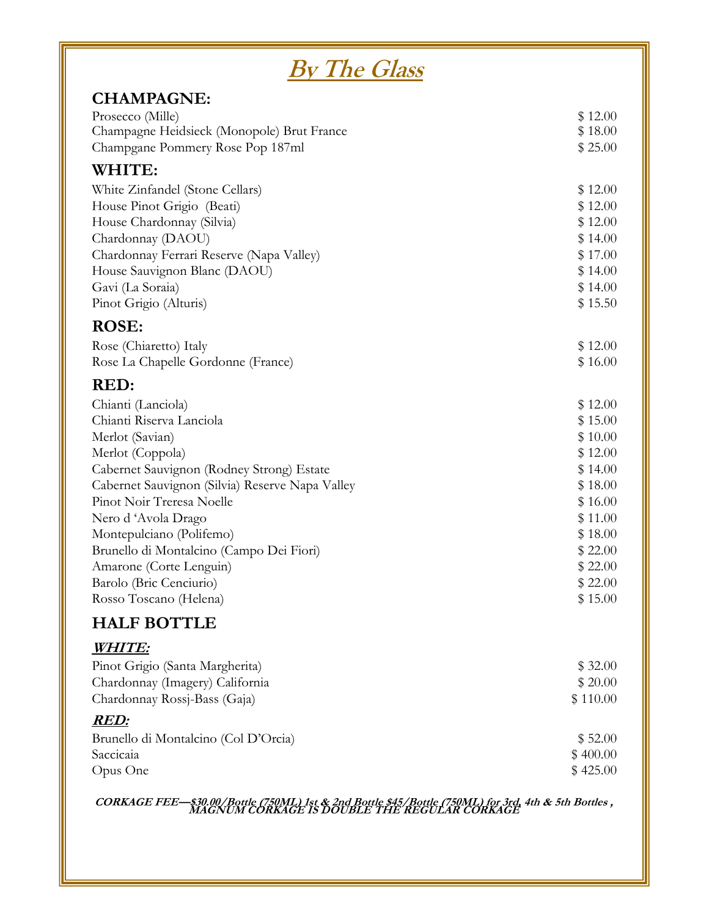| <u>By The Glass</u>                             |                    |  |  |
|-------------------------------------------------|--------------------|--|--|
| <b>CHAMPAGNE:</b>                               |                    |  |  |
| Prosecco (Mille)                                | \$12.00            |  |  |
| Champagne Heidsieck (Monopole) Brut France      | \$18.00            |  |  |
| Champgane Pommery Rose Pop 187ml                | \$25.00            |  |  |
| WHITE:                                          |                    |  |  |
| White Zinfandel (Stone Cellars)                 | \$12.00            |  |  |
| House Pinot Grigio (Beati)                      | \$12.00            |  |  |
| House Chardonnay (Silvia)                       | \$12.00            |  |  |
| Chardonnay (DAOU)                               | \$14.00            |  |  |
| Chardonnay Ferrari Reserve (Napa Valley)        | \$17.00            |  |  |
| House Sauvignon Blanc (DAOU)                    | \$14.00            |  |  |
| Gavi (La Soraia)                                | \$14.00            |  |  |
| Pinot Grigio (Alturis)                          | \$15.50            |  |  |
| <b>ROSE:</b>                                    |                    |  |  |
| Rose (Chiaretto) Italy                          | \$12.00            |  |  |
| Rose La Chapelle Gordonne (France)              | \$16.00            |  |  |
| RED:                                            |                    |  |  |
| Chianti (Lanciola)                              | \$12.00            |  |  |
| Chianti Riserva Lanciola                        | \$15.00            |  |  |
| Merlot (Savian)                                 | \$10.00            |  |  |
| Merlot (Coppola)                                | \$12.00            |  |  |
| Cabernet Sauvignon (Rodney Strong) Estate       | \$14.00            |  |  |
| Cabernet Sauvignon (Silvia) Reserve Napa Valley | \$18.00            |  |  |
| Pinot Noir Treresa Noelle                       | \$16.00<br>\$11.00 |  |  |
| Nero d'Avola Drago<br>Montepulciano (Polifemo)  | \$18.00            |  |  |
| Brunello di Montalcino (Campo Dei Fiori)        | \$22.00            |  |  |
| Amarone (Corte Lenguin)                         | \$22.00            |  |  |
| Barolo (Bric Cenciurio)                         | \$22.00            |  |  |
| Rosso Toscano (Helena)                          | \$15.00            |  |  |
| <b>HALF BOTTLE</b>                              |                    |  |  |
| WHITE:                                          |                    |  |  |
| Pinot Grigio (Santa Margherita)                 | \$32.00            |  |  |
| Chardonnay (Imagery) California                 | \$20.00            |  |  |
| Chardonnay Rossj-Bass (Gaja)                    | \$110.00           |  |  |
| <b>RED:</b>                                     |                    |  |  |
| Brunello di Montalcino (Col D'Orcia)            | \$52.00            |  |  |
| Saccicaia                                       | \$400.00           |  |  |
| Opus One                                        | \$425.00           |  |  |
|                                                 |                    |  |  |

**CORKAGE FEE—\$30.00/Bottle (750ML) 1st & 2nd Bottle \$45/Bottle (750ML) for 3rd, 4th & 5th Bottles , MAGNUM CORKAGE IS DOUBLE THE REGULAR CORKAGE**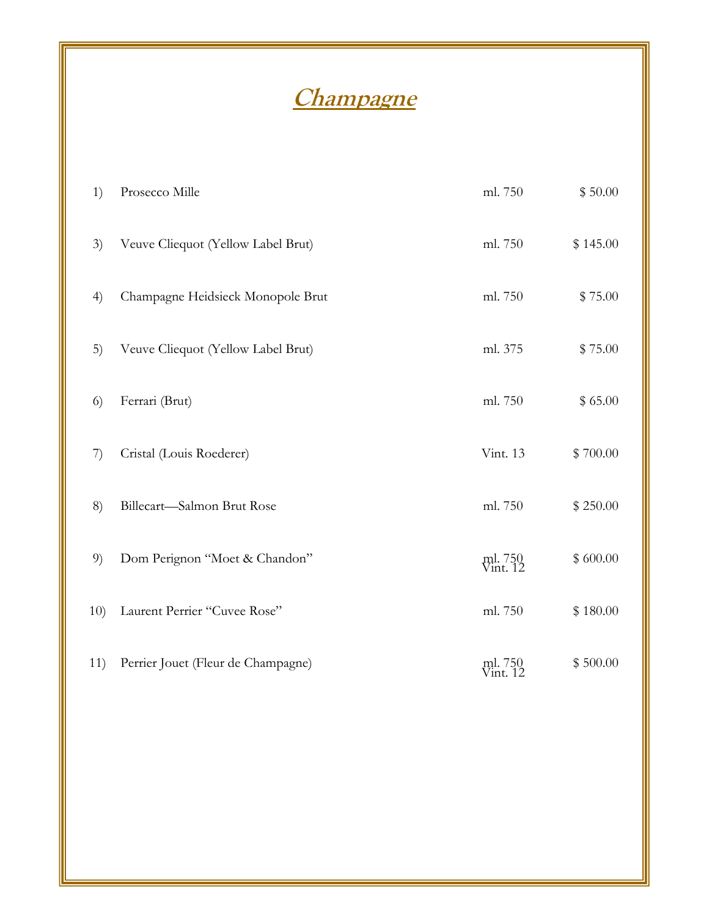# **Champagne**

| 1)  | Prosecco Mille                     | ml. 750             | \$50.00  |
|-----|------------------------------------|---------------------|----------|
| 3)  | Veuve Cliequot (Yellow Label Brut) | ml. 750             | \$145.00 |
| 4)  | Champagne Heidsieck Monopole Brut  | ml. 750             | \$75.00  |
| 5)  | Veuve Cliequot (Yellow Label Brut) | ml. 375             | \$75.00  |
| 6)  | Ferrari (Brut)                     | ml. 750             | \$65.00  |
| 7)  | Cristal (Louis Roederer)           | Vint. 13            | \$700.00 |
| 8)  | Billecart-Salmon Brut Rose         | ml. 750             | \$250.00 |
| 9)  | Dom Perignon "Moet & Chandon"      | ml. 750<br>Vint. 12 | \$600.00 |
| 10) | Laurent Perrier "Cuvee Rose"       | ml. 750             | \$180.00 |
| 11) | Perrier Jouet (Fleur de Champagne) | ml. 750<br>Vint. 12 | \$500.00 |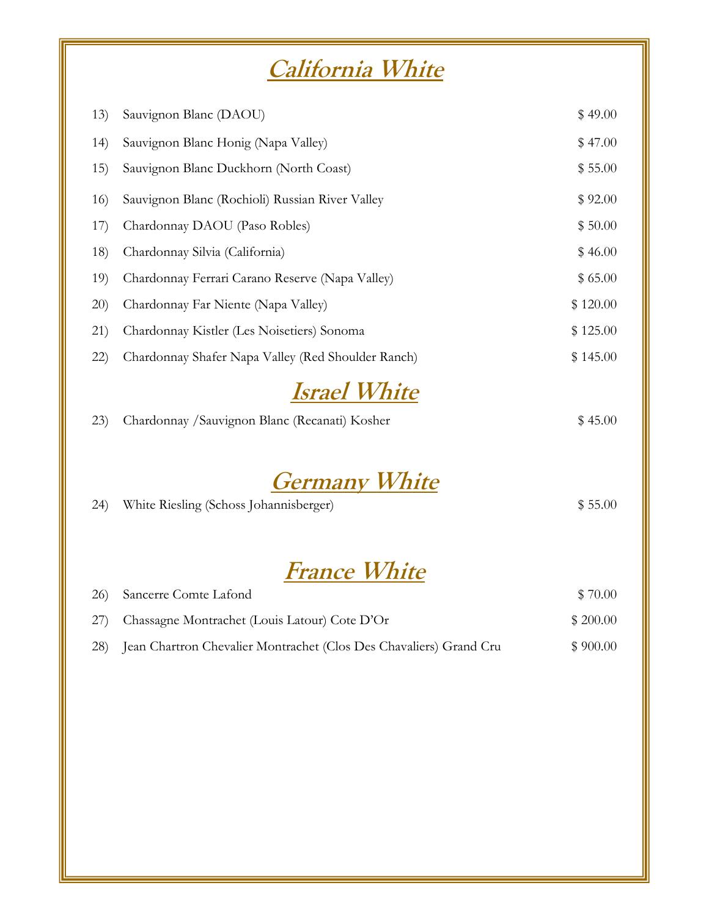## **California White**

| 13)  | Sauvignon Blanc (DAOU)                             | \$49.00  |
|------|----------------------------------------------------|----------|
| (14) | Sauvignon Blanc Honig (Napa Valley)                | \$47.00  |
| 15)  | Sauvignon Blanc Duckhorn (North Coast)             | \$55.00  |
| 16)  | Sauvignon Blanc (Rochioli) Russian River Valley    | \$92.00  |
| 17)  | Chardonnay DAOU (Paso Robles)                      | \$50.00  |
| 18)  | Chardonnay Silvia (California)                     | \$46.00  |
| 19)  | Chardonnay Ferrari Carano Reserve (Napa Valley)    | \$65.00  |
| 20)  | Chardonnay Far Niente (Napa Valley)                | \$120.00 |
| 21)  | Chardonnay Kistler (Les Noisetiers) Sonoma         | \$125.00 |
| (22) | Chardonnay Shafer Napa Valley (Red Shoulder Ranch) | \$145.00 |
|      |                                                    |          |

## **Israel White**

|  | 23) Chardonnay / Sauvignon Blanc (Recanati) Kosher | \$45.00 |
|--|----------------------------------------------------|---------|

### **Germany White**

| (24) | White Riesling (Schoss Johannisberger) | \$55.00 |
|------|----------------------------------------|---------|
|      |                                        |         |

## **France White**

| 26) Sancerre Comte Lafond                                              | \$70.00  |
|------------------------------------------------------------------------|----------|
| 27) Chassagne Montrachet (Louis Latour) Cote D'Or                      | \$200.00 |
| 28) Jean Chartron Chevalier Montrachet (Clos Des Chavaliers) Grand Cru | \$900.00 |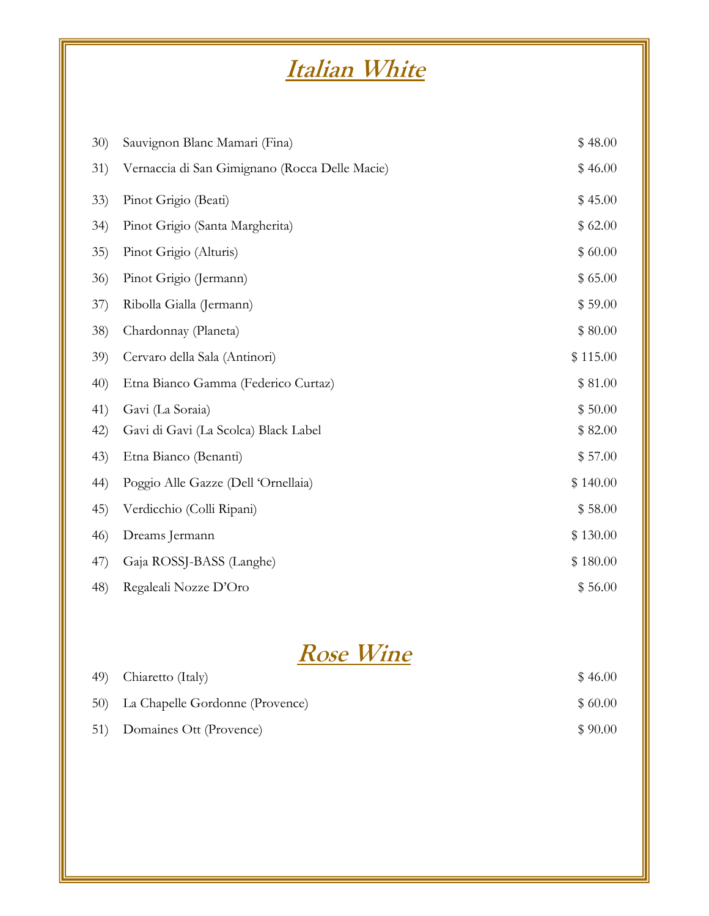# **Italian White**

| 30)  | Sauvignon Blanc Mamari (Fina)                  | \$48.00  |
|------|------------------------------------------------|----------|
| 31)  | Vernaccia di San Gimignano (Rocca Delle Macie) | \$46.00  |
| 33)  | Pinot Grigio (Beati)                           | \$45.00  |
| 34)  | Pinot Grigio (Santa Margherita)                | \$62.00  |
| 35)  | Pinot Grigio (Alturis)                         | \$60.00  |
| 36)  | Pinot Grigio (Jermann)                         | \$65.00  |
| 37)  | Ribolla Gialla (Jermann)                       | \$59.00  |
| 38)  | Chardonnay (Planeta)                           | \$80.00  |
| 39)  | Cervaro della Sala (Antinori)                  | \$115.00 |
| 40)  | Etna Bianco Gamma (Federico Curtaz)            | \$81.00  |
| 41)  | Gavi (La Soraia)                               | \$50.00  |
| 42)  | Gavi di Gavi (La Scolca) Black Label           | \$82.00  |
| (43) | Etna Bianco (Benanti)                          | \$57.00  |
| 44)  | Poggio Alle Gazze (Dell 'Ornellaia)            | \$140.00 |
| 45)  | Verdicchio (Colli Ripani)                      | \$58.00  |
| 46)  | Dreams Jermann                                 | \$130.00 |
| 47)  | Gaja ROSSJ-BASS (Langhe)                       | \$180.00 |
| 48)  | Regaleali Nozze D'Oro                          | \$56.00  |

## **Rose Wine**

| 49) Chiaretto (Italy)               | \$46.00 |
|-------------------------------------|---------|
| 50) La Chapelle Gordonne (Provence) | \$60.00 |
| 51) Domaines Ott (Provence)         | \$90.00 |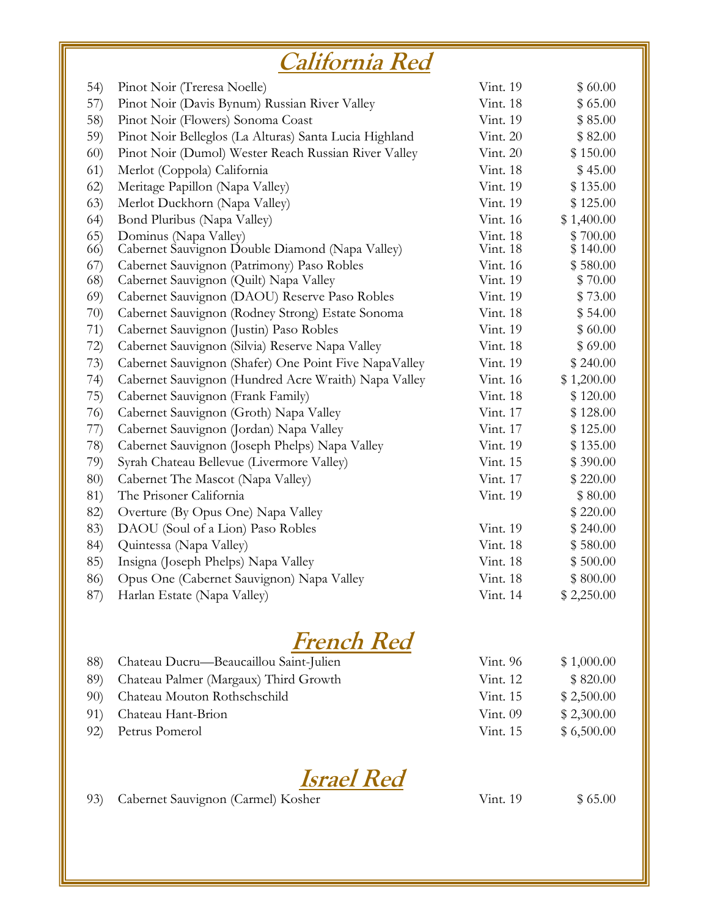# **California Red**

| 54)  | Pinot Noir (Treresa Noelle)                            | Vint. 19 | \$60.00    |
|------|--------------------------------------------------------|----------|------------|
| 57)  | Pinot Noir (Davis Bynum) Russian River Valley          | Vint. 18 | \$65.00    |
| 58)  | Pinot Noir (Flowers) Sonoma Coast                      | Vint. 19 | \$85.00    |
| 59)  | Pinot Noir Belleglos (La Alturas) Santa Lucia Highland | Vint. 20 | \$82.00    |
| 60)  | Pinot Noir (Dumol) Wester Reach Russian River Valley   | Vint. 20 | \$150.00   |
| 61)  | Merlot (Coppola) California                            | Vint. 18 | \$45.00    |
| 62)  | Meritage Papillon (Napa Valley)                        | Vint. 19 | \$135.00   |
| (63) | Merlot Duckhorn (Napa Valley)                          | Vint. 19 | \$125.00   |
| (64) | Bond Pluribus (Napa Valley)                            | Vint. 16 | \$1,400.00 |
| (65) | Dominus (Napa Valley)                                  | Vint. 18 | \$700.00   |
| 66)  | Cabernet Sauvignon Double Diamond (Napa Valley)        | Vint. 18 | \$140.00   |
| (67) | Cabernet Sauvignon (Patrimony) Paso Robles             | Vint. 16 | \$580.00   |
| 68)  | Cabernet Sauvignon (Quilt) Napa Valley                 | Vint. 19 | \$70.00    |
| 69)  | Cabernet Sauvignon (DAOU) Reserve Paso Robles          | Vint. 19 | \$73.00    |
| 70)  | Cabernet Sauvignon (Rodney Strong) Estate Sonoma       | Vint. 18 | \$54.00    |
| 71)  | Cabernet Sauvignon (Justin) Paso Robles                | Vint. 19 | \$60.00    |
| 72)  | Cabernet Sauvignon (Silvia) Reserve Napa Valley        | Vint. 18 | \$69.00    |
| 73)  | Cabernet Sauvignon (Shafer) One Point Five NapaValley  | Vint. 19 | \$240.00   |
| 74)  | Cabernet Sauvignon (Hundred Acre Wraith) Napa Valley   | Vint. 16 | \$1,200.00 |
| 75)  | Cabernet Sauvignon (Frank Family)                      | Vint. 18 | \$120.00   |
| 76)  | Cabernet Sauvignon (Groth) Napa Valley                 | Vint. 17 | \$128.00   |
| 77)  | Cabernet Sauvignon (Jordan) Napa Valley                | Vint. 17 | \$125.00   |
| 78)  | Cabernet Sauvignon (Joseph Phelps) Napa Valley         | Vint. 19 | \$135.00   |
| 79)  | Syrah Chateau Bellevue (Livermore Valley)              | Vint. 15 | \$390.00   |
| 80)  | Cabernet The Mascot (Napa Valley)                      | Vint. 17 | \$220.00   |
| 81)  | The Prisoner California                                | Vint. 19 | \$80.00    |
| 82)  | Overture (By Opus One) Napa Valley                     |          | \$220.00   |
| 83)  | DAOU (Soul of a Lion) Paso Robles                      | Vint. 19 | \$240.00   |
| 84)  | Quintessa (Napa Valley)                                | Vint. 18 | \$580.00   |
| 85)  | Insigna (Joseph Phelps) Napa Valley                    | Vint. 18 | \$500.00   |
| 86)  | Opus One (Cabernet Sauvignon) Napa Valley              | Vint. 18 | \$800.00   |
| 87)  | Harlan Estate (Napa Valley)                            | Vint. 14 | \$2,250.00 |

### **French Red**

| 88) Chateau Ducru—Beaucaillou Saint-Julien | Vint. 96   | \$1,000.00 |
|--------------------------------------------|------------|------------|
| 89) Chateau Palmer (Margaux) Third Growth  | Vint. 12   | \$820.00   |
| 90) Chateau Mouton Rothschschild           | Vint. 15   | \$2,500.00 |
| 91) Chateau Hant-Brion                     | Vint. $09$ | \$2,300.00 |
| 92) Petrus Pomerol                         | Vint. $15$ | \$6,500.00 |



93) Cabernet Sauvignon (Carmel) Kosher Vint. 19 \$ 65.00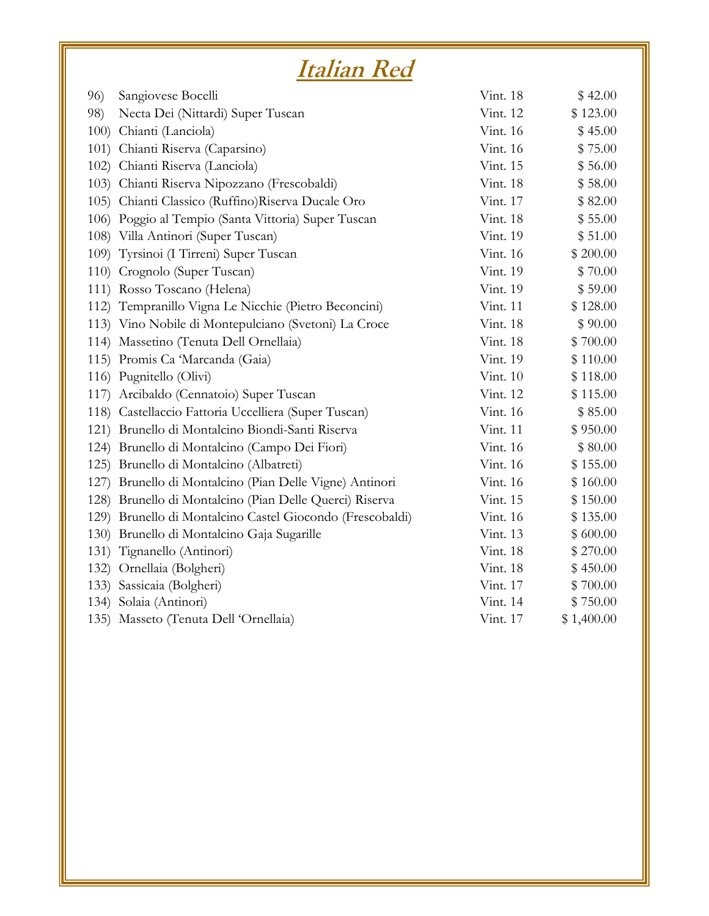# **Italian Red**

| 96)  | Sangiovese Bocelli                                        | Vint. 18 | \$42.00    |
|------|-----------------------------------------------------------|----------|------------|
| 98)  | Necta Dei (Nittardi) Super Tuscan                         | Vint. 12 | \$123.00   |
| 100) | Chianti (Lanciola)                                        | Vint. 16 | \$45.00    |
|      | 101) Chianti Riserva (Caparsino)                          | Vint. 16 | \$75.00    |
|      | 102) Chianti Riserva (Lanciola)                           | Vint. 15 | \$56.00    |
|      | 103) Chianti Riserva Nipozzano (Frescobaldi)              | Vint. 18 | \$58.00    |
|      | 105) Chianti Classico (Ruffino) Riserva Ducale Oro        | Vint. 17 | \$82.00    |
|      | 106) Poggio al Tempio (Santa Vittoria) Super Tuscan       | Vint. 18 | \$55.00    |
|      | 108) Villa Antinori (Super Tuscan)                        | Vint. 19 | \$51.00    |
|      | 109) Tyrsinoi (I Tirreni) Super Tuscan                    | Vint. 16 | \$200.00   |
|      | 110) Crognolo (Super Tuscan)                              | Vint. 19 | \$70.00    |
|      | 111) Rosso Toscano (Helena)                               | Vint. 19 | \$59.00    |
|      | 112) Tempranillo Vigna Le Nicchie (Pietro Beconcini)      | Vint. 11 | \$128.00   |
|      | 113) Vino Nobile di Montepulciano (Svetoni) La Croce      | Vint. 18 | \$90.00    |
|      | 114) Massetino (Tenuta Dell Ornellaia)                    | Vint. 18 | \$700.00   |
|      | 115) Promis Ca 'Marcanda (Gaia)                           | Vint. 19 | \$110.00   |
|      | 116) Pugnitello (Olivi)                                   | Vint. 10 | \$118.00   |
|      | 117) Arcibaldo (Cennatoio) Super Tuscan                   | Vint. 12 | \$115.00   |
|      | 118) Castellaccio Fattoria Uccelliera (Super Tuscan)      | Vint. 16 | \$85.00    |
|      | 121) Brunello di Montalcino Biondi-Santi Riserva          | Vint. 11 | \$950.00   |
|      | 124) Brunello di Montalcino (Campo Dei Fiori)             | Vint. 16 | \$80.00    |
|      | 125) Brunello di Montalcino (Albatreti)                   | Vint. 16 | \$155.00   |
|      | 127) Brunello di Montalcino (Pian Delle Vigne) Antinori   | Vint. 16 | \$160.00   |
|      | 128) Brunello di Montalcino (Pian Delle Querci) Riserva   | Vint. 15 | \$150.00   |
|      | 129) Brunello di Montalcino Castel Giocondo (Frescobaldi) | Vint. 16 | \$135.00   |
|      | 130) Brunello di Montalcino Gaja Sugarille                | Vint. 13 | \$600.00   |
|      | 131) Tignanello (Antinori)                                | Vint. 18 | \$270.00   |
|      | 132) Ornellaia (Bolgheri)                                 | Vint. 18 | \$450.00   |
| 133) | Sassicaia (Bolgheri)                                      | Vint. 17 | \$700.00   |
|      | 134) Solaia (Antinori)                                    | Vint. 14 | \$750.00   |
|      | 135) Masseto (Tenuta Dell 'Ornellaia)                     | Vint. 17 | \$1,400.00 |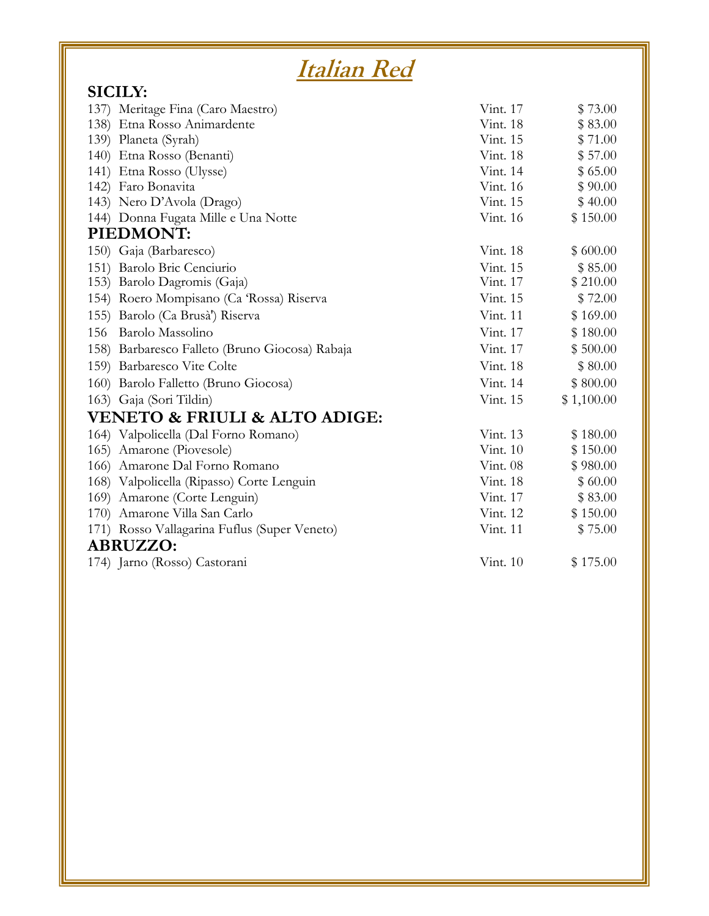| Italian Red                                    |          |            |
|------------------------------------------------|----------|------------|
| <b>SICILY:</b>                                 |          |            |
| 137) Meritage Fina (Caro Maestro)              | Vint. 17 | \$73.00    |
| 138) Etna Rosso Animardente                    | Vint. 18 | \$83.00    |
| 139) Planeta (Syrah)                           | Vint. 15 | \$71.00    |
| 140) Etna Rosso (Benanti)                      | Vint. 18 | \$57.00    |
| 141) Etna Rosso (Ulysse)                       | Vint. 14 | \$65.00    |
| 142) Faro Bonavita                             | Vint. 16 | \$90.00    |
| 143) Nero D'Avola (Drago)                      | Vint. 15 | \$40.00    |
| 144) Donna Fugata Mille e Una Notte            | Vint. 16 | \$150.00   |
| PIEDMONT:                                      |          |            |
| 150) Gaja (Barbaresco)                         | Vint. 18 | \$600.00   |
| 151) Barolo Bric Cenciurio                     | Vint. 15 | \$85.00    |
| 153) Barolo Dagromis (Gaja)                    | Vint. 17 | \$210.00   |
| 154) Roero Mompisano (Ca 'Rossa) Riserva       | Vint. 15 | \$72.00    |
| 155) Barolo (Ca Brusà') Riserva                | Vint. 11 | \$169.00   |
| 156 Barolo Massolino                           | Vint. 17 | \$180.00   |
| 158) Barbaresco Falleto (Bruno Giocosa) Rabaja | Vint. 17 | \$500.00   |
| 159) Barbaresco Vite Colte                     | Vint. 18 | \$80.00    |
| 160) Barolo Falletto (Bruno Giocosa)           | Vint. 14 | \$800.00   |
| 163) Gaja (Sori Tildin)                        | Vint. 15 | \$1,100.00 |
| <b>VENETO &amp; FRIULI &amp; ALTO ADIGE:</b>   |          |            |
| 164) Valpolicella (Dal Forno Romano)           | Vint. 13 | \$180.00   |
| 165) Amarone (Piovesole)                       | Vint. 10 | \$150.00   |
| 166) Amarone Dal Forno Romano                  | Vint. 08 | \$980.00   |
| 168) Valpolicella (Ripasso) Corte Lenguin      | Vint. 18 | \$60.00    |
| 169) Amarone (Corte Lenguin)                   | Vint. 17 | \$83.00    |
| 170) Amarone Villa San Carlo                   | Vint. 12 | \$150.00   |
| 171) Rosso Vallagarina Fuflus (Super Veneto)   | Vint. 11 | \$75.00    |
| <b>ABRUZZO:</b>                                |          |            |
| 174) Jarno (Rosso) Castorani                   | Vint. 10 | \$175.00   |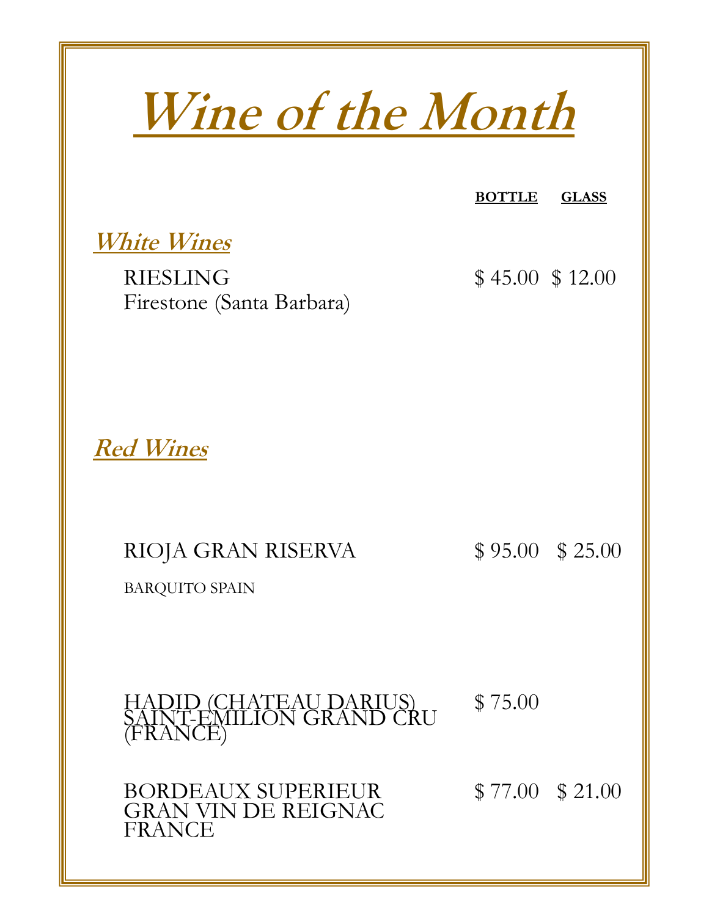**Wine of the Month White Wines** RIESLING \$45.00 \$12.00 Firestone (Santa Barbara) **Red Wines** RIOJA GRAN RISERVA  $$ 95.00 $ 25.00$ BARQUITO SPAIN HADID (CHATEAU DARIUS) SAINT-EMILION GRAND CRU \$ 75.00 **BOTTLE GLASS**

BORDEAUX SUPERIEUR  $$ 77.00 $ 21.00$ GRAN VIN DE REIGNAC FRANCE

(FRANCE)